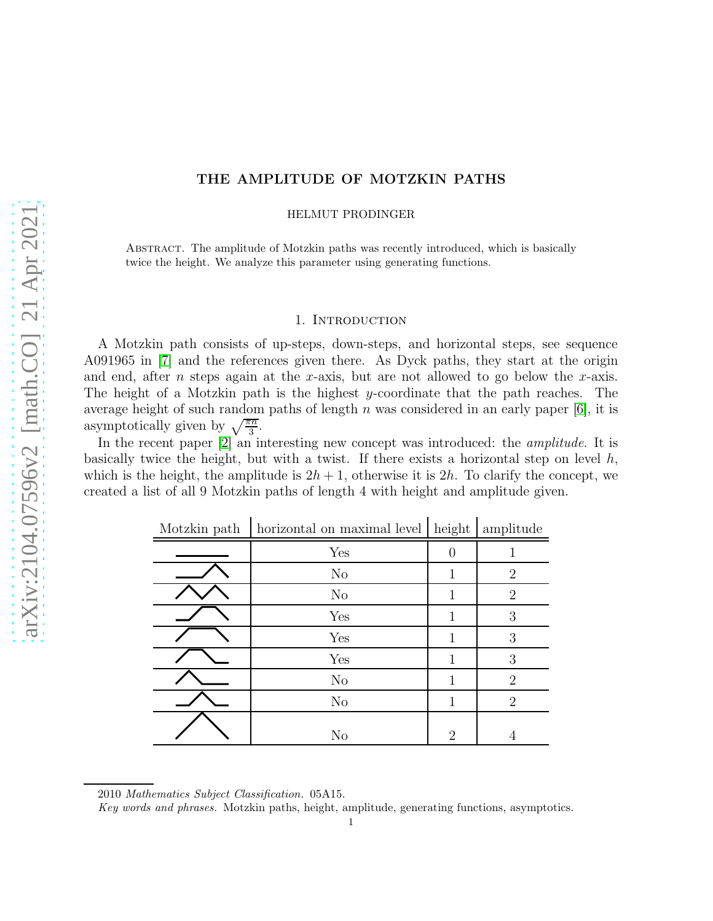# THE AMPLITUDE OF MOTZKIN PATHS

HELMUT PRODINGER

Abstract. The amplitude of Motzkin paths was recently introduced, which is basically twice the height. We analyze this parameter using generating functions.

#### 1. INTRODUCTION

A Motzkin path consists of up-steps, down-steps, and horizontal steps, see sequence A091965 in [\[7\]](#page-6-0) and the references given there. As Dyck paths, they start at the origin and end, after *n* steps again at the x-axis, but are not allowed to go below the x-axis. The height of a Motzkin path is the highest y-coordinate that the path reaches. The average height of such random paths of length n was considered in an early paper  $[6]$ , it is asymptotically given by  $\sqrt{\frac{\pi n}{3}}$ .

In the recent paper [\[2\]](#page-6-2) an interesting new concept was introduced: the *amplitude*. It is basically twice the height, but with a twist. If there exists a horizontal step on level  $h$ , which is the height, the amplitude is  $2h + 1$ , otherwise it is  $2h$ . To clarify the concept, we created a list of all 9 Motzkin paths of length 4 with height and amplitude given.

| Motzkin path | horizontal on maximal level | height           | amplitude      |
|--------------|-----------------------------|------------------|----------------|
|              | Yes                         | $\left( \right)$ |                |
|              | $\rm No$                    |                  | $\overline{2}$ |
|              | $\rm No$                    | 1                | $\overline{2}$ |
|              | Yes                         |                  | 3              |
|              | Yes                         | 1                | 3              |
|              | Yes                         | 1                | 3              |
|              | $\rm No$                    | 1                | $\overline{2}$ |
|              | $\rm No$                    | 1                | $\overline{2}$ |
|              | N <sub>o</sub>              | $\overline{2}$   | 4              |

Motzkin path | horizontal on maximal level | height | amplitude

<sup>2010</sup> Mathematics Subject Classification. 05A15.

Key words and phrases. Motzkin paths, height, amplitude, generating functions, asymptotics.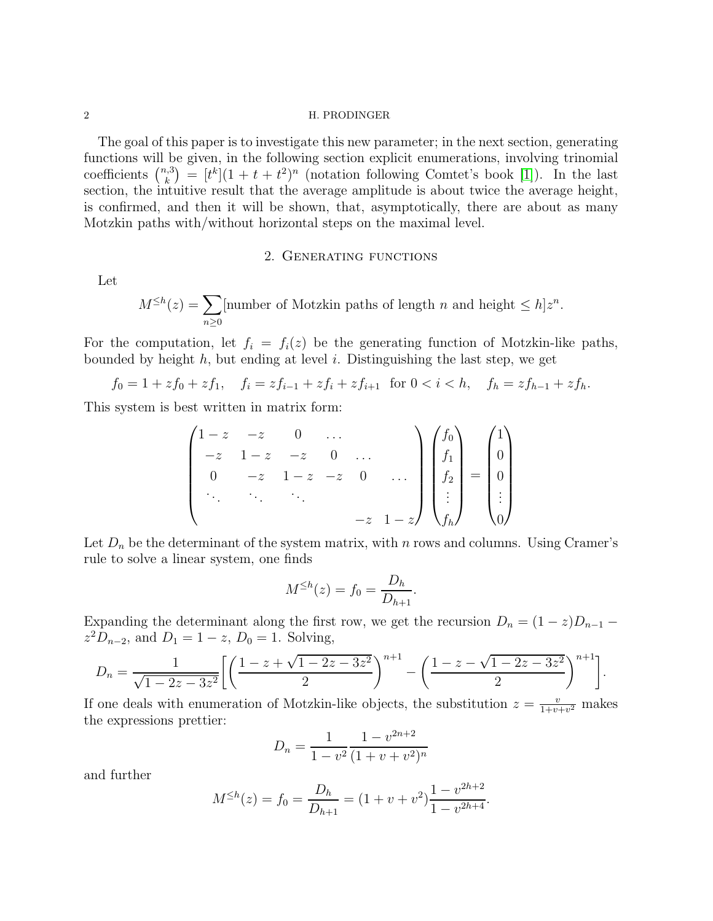#### 2 H. PRODINGER

The goal of this paper is to investigate this new parameter; in the next section, generating functions will be given, in the following section explicit enumerations, involving trinomial coefficients  $\binom{n,3}{k}$  $\binom{k}{k} = [t^k](1+t+t^2)^n$  (notation following Comtet's book [\[1\]](#page-6-3)). In the last section, the intuitive result that the average amplitude is about twice the average height, is confirmed, and then it will be shown, that, asymptotically, there are about as many Motzkin paths with/without horizontal steps on the maximal level.

#### 2. Generating functions

Let

$$
M^{\leq h}(z) = \sum_{n\geq 0} \text{[number of Motzkin paths of length } n \text{ and height } \leq h] z^n.
$$

For the computation, let  $f_i = f_i(z)$  be the generating function of Motzkin-like paths, bounded by height  $h$ , but ending at level i. Distinguishing the last step, we get

$$
f_0 = 1 + z f_0 + z f_1, \quad f_i = z f_{i-1} + z f_i + z f_{i+1} \text{ for } 0 < i < h, \quad f_h = z f_{h-1} + z f_h.
$$

This system is best written in matrix form:

$$
\begin{pmatrix}\n1-z & -z & 0 & \dots \\
-z & 1-z & -z & 0 & \dots \\
0 & -z & 1-z & -z & 0 & \dots \\
\vdots & \vdots & \ddots & \vdots & \vdots \\
z & -z & 1-z\n\end{pmatrix}\n\begin{pmatrix}\nf_0 \\
f_1 \\
f_2 \\
\vdots \\
f_h\n\end{pmatrix} = \begin{pmatrix}\n1 \\
0 \\
0 \\
\vdots \\
0\n\end{pmatrix}
$$

Let  $D_n$  be the determinant of the system matrix, with n rows and columns. Using Cramer's rule to solve a linear system, one finds

$$
M^{\leq h}(z) = f_0 = \frac{D_h}{D_{h+1}}.
$$

Expanding the determinant along the first row, we get the recursion  $D_n = (1 - z)D_{n-1}$  $z^2 D_{n-2}$ , and  $D_1 = 1 - z$ ,  $D_0 = 1$ . Solving,

$$
D_n = \frac{1}{\sqrt{1 - 2z - 3z^2}} \left[ \left( \frac{1 - z + \sqrt{1 - 2z - 3z^2}}{2} \right)^{n+1} - \left( \frac{1 - z - \sqrt{1 - 2z - 3z^2}}{2} \right)^{n+1} \right].
$$

If one deals with enumeration of Motzkin-like objects, the substitution  $z = \frac{v}{1+v}$  $\frac{v}{1+v+v^2}$  makes the expressions prettier:

$$
D_n = \frac{1}{1 - v^2} \frac{1 - v^{2n+2}}{(1 + v + v^2)^n}
$$

and further

$$
M^{\leq h}(z) = f_0 = \frac{D_h}{D_{h+1}} = (1 + v + v^2) \frac{1 - v^{2h+2}}{1 - v^{2h+4}}.
$$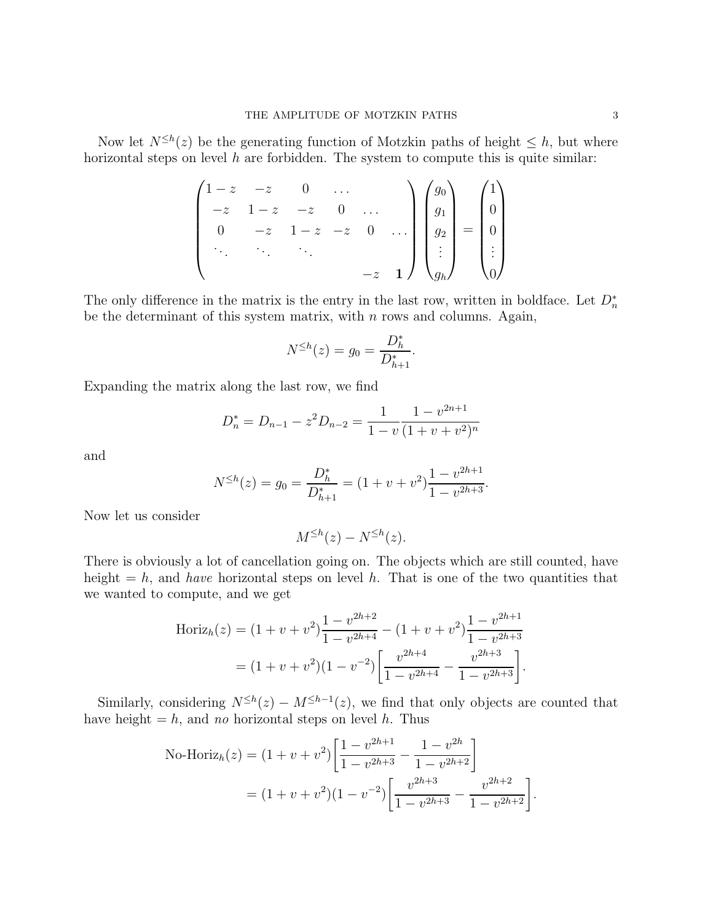Now let  $N^{\leq h}(z)$  be the generating function of Motzkin paths of height  $\leq h$ , but where horizontal steps on level  $h$  are forbidden. The system to compute this is quite similar:

$$
\begin{pmatrix}\n1-z & -z & 0 & \dots \\
-z & 1-z & -z & 0 & \dots \\
0 & -z & 1-z & -z & 0 & \dots \\
\vdots & \vdots & \ddots & \vdots & \vdots \\
z & -z & 1\n\end{pmatrix}\n\begin{pmatrix}\ng_0 \\
g_1 \\
g_2 \\
\vdots \\
g_h\n\end{pmatrix} =\n\begin{pmatrix}\n1 \\
0 \\
0 \\
\vdots \\
0\n\end{pmatrix}
$$

The only difference in the matrix is the entry in the last row, written in boldface. Let  $D_n^*$ be the determinant of this system matrix, with  $n$  rows and columns. Again,

$$
N^{\leq h}(z) = g_0 = \frac{D_h^*}{D_{h+1}^*}.
$$

Expanding the matrix along the last row, we find

$$
D_n^* = D_{n-1} - z^2 D_{n-2} = \frac{1}{1 - v} \frac{1 - v^{2n+1}}{(1 + v + v^2)^n}
$$

and

$$
N^{\leq h}(z) = g_0 = \frac{D_h^*}{D_{h+1}^*} = (1 + v + v^2) \frac{1 - v^{2h+1}}{1 - v^{2h+3}}.
$$

Now let us consider

$$
M^{\leq h}(z) - N^{\leq h}(z).
$$

There is obviously a lot of cancellation going on. The objects which are still counted, have height  $= h$ , and *have* horizontal steps on level h. That is one of the two quantities that we wanted to compute, and we get

$$
\text{Horiz}_h(z) = (1 + v + v^2) \frac{1 - v^{2h+2}}{1 - v^{2h+4}} - (1 + v + v^2) \frac{1 - v^{2h+1}}{1 - v^{2h+3}}
$$

$$
= (1 + v + v^2)(1 - v^{-2}) \left[ \frac{v^{2h+4}}{1 - v^{2h+4}} - \frac{v^{2h+3}}{1 - v^{2h+3}} \right].
$$

Similarly, considering  $N^{\leq h}(z) - M^{\leq h-1}(z)$ , we find that only objects are counted that have height  $= h$ , and no horizontal steps on level h. Thus

No-Horiz<sub>h</sub>(z) = 
$$
(1 + v + v^2) \left[ \frac{1 - v^{2h+1}}{1 - v^{2h+3}} - \frac{1 - v^{2h}}{1 - v^{2h+2}} \right]
$$
  
 =  $(1 + v + v^2)(1 - v^{-2}) \left[ \frac{v^{2h+3}}{1 - v^{2h+3}} - \frac{v^{2h+2}}{1 - v^{2h+2}} \right].$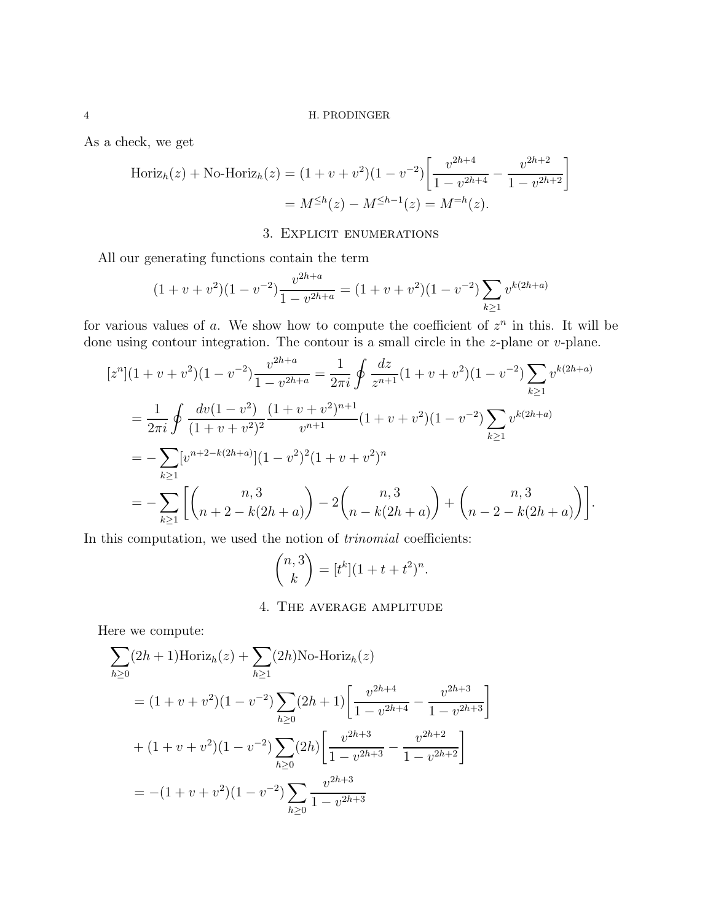As a check, we get

$$
\text{Horiz}_h(z) + \text{No-Horiz}_h(z) = (1 + v + v^2)(1 - v^{-2}) \left[ \frac{v^{2h+4}}{1 - v^{2h+4}} - \frac{v^{2h+2}}{1 - v^{2h+2}} \right]
$$

$$
= M^{\leq h}(z) - M^{\leq h-1}(z) = M^{=h}(z).
$$

# 3. Explicit enumerations

All our generating functions contain the term

$$
(1 + v + v2)(1 - v-2)\frac{v^{2h+a}}{1 - v^{2h+a}} = (1 + v + v2)(1 - v-2)\sum_{k \ge 1} vk(2h+a)
$$

for various values of a. We show how to compute the coefficient of  $z^n$  in this. It will be done using contour integration. The contour is a small circle in the  $z$ -plane or  $v$ -plane.

$$
[zn](1 + v + v2)(1 - v-2)\frac{v^{2h+a}}{1 - v^{2h+a}} = \frac{1}{2\pi i} \oint \frac{dz}{z^{n+1}} (1 + v + v2)(1 - v-2) \sum_{k\geq 1} v^{k(2h+a)}
$$
  
= 
$$
\frac{1}{2\pi i} \oint \frac{dv(1 - v2)}{(1 + v + v2)2} \frac{(1 + v + v2)n+1}{vn+1} (1 + v + v2)(1 - v-2) \sum_{k\geq 1} v^{k(2h+a)}
$$
  
= 
$$
-\sum_{k\geq 1} [vn+2-k(2h+a)](1 - v2)2(1 + v + v2)n
$$
  
= 
$$
-\sum_{k\geq 1} \left[ \binom{n,3}{n+2-k(2h+a)} - 2 \binom{n,3}{n-k(2h+a)} + \binom{n,3}{n-2-k(2h+a)} \right].
$$

In this computation, we used the notion of trinomial coefficients:

$$
\binom{n,3}{k} = [t^k](1+t+t^2)^n.
$$

# 4. The average amplitude

Here we compute:

$$
\sum_{h\geq 0} (2h+1) \text{Horiz}_h(z) + \sum_{h\geq 1} (2h) \text{No-Horiz}_h(z)
$$
  
=  $(1+v+v^2)(1-v^{-2}) \sum_{h\geq 0} (2h+1) \left[ \frac{v^{2h+4}}{1-v^{2h+4}} - \frac{v^{2h+3}}{1-v^{2h+3}} \right]$   
+  $(1+v+v^2)(1-v^{-2}) \sum_{h\geq 0} (2h) \left[ \frac{v^{2h+3}}{1-v^{2h+3}} - \frac{v^{2h+2}}{1-v^{2h+2}} \right]$   
=  $-(1+v+v^2)(1-v^{-2}) \sum_{h\geq 0} \frac{v^{2h+3}}{1-v^{2h+3}}$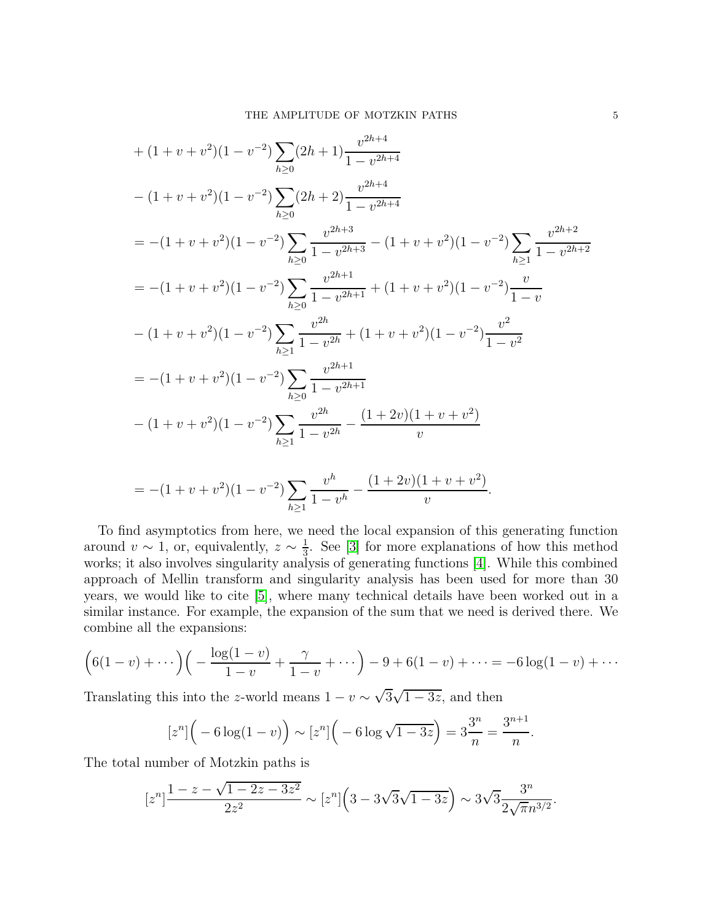+ 
$$
(1 + v + v^2)(1 - v^{-2}) \sum_{h \ge 0} (2h + 1) \frac{v^{2h+4}}{1 - v^{2h+4}}
$$
  
\n-  $(1 + v + v^2)(1 - v^{-2}) \sum_{h \ge 0} (2h + 2) \frac{v^{2h+4}}{1 - v^{2h+4}}$   
\n=  $-(1 + v + v^2)(1 - v^{-2}) \sum_{h \ge 0} \frac{v^{2h+3}}{1 - v^{2h+3}} - (1 + v + v^2)(1 - v^{-2}) \sum_{h \ge 1} \frac{v^{2h+2}}{1 - v^{2h+2}}$   
\n=  $-(1 + v + v^2)(1 - v^{-2}) \sum_{h \ge 0} \frac{v^{2h+1}}{1 - v^{2h+1}} + (1 + v + v^2)(1 - v^{-2}) \frac{v}{1 - v}$   
\n-  $(1 + v + v^2)(1 - v^{-2}) \sum_{h \ge 1} \frac{v^{2h}}{1 - v^{2h}} + (1 + v + v^2)(1 - v^{-2}) \frac{v^2}{1 - v^2}$   
\n=  $-(1 + v + v^2)(1 - v^{-2}) \sum_{h \ge 0} \frac{v^{2h+1}}{1 - v^{2h+1}}$   
\n-  $(1 + v + v^2)(1 - v^{-2}) \sum_{h \ge 1} \frac{v^{2h+1}}{1 - v^{2h+1}}$ 

$$
= -(1+v+v^{2})(1-v^{-2})\sum_{h\geq 1}\frac{v^{h}}{1-v^{h}} - \frac{(1+2v)(1+v+v^{2})}{v}.
$$

To find asymptotics from here, we need the local expansion of this generating function around  $v \sim 1$ , or, equivalently,  $z \sim \frac{1}{3}$  $\frac{1}{3}$ . See [\[3\]](#page-6-4) for more explanations of how this method works; it also involves singularity analysis of generating functions [\[4\]](#page-6-5). While this combined approach of Mellin transform and singularity analysis has been used for more than 30 years, we would like to cite [\[5\]](#page-6-6), where many technical details have been worked out in a similar instance. For example, the expansion of the sum that we need is derived there. We combine all the expansions:

$$
\left(6(1-v)+\cdots\right)\left(-\frac{\log(1-v)}{1-v}+\frac{\gamma}{1-v}+\cdots\right)-9+6(1-v)+\cdots=-6\log(1-v)+\cdots
$$

Translating this into the z-world means  $1 - v \sim \sqrt{3}\sqrt{1 - 3z}$ , and then

$$
[z^n] \left( -6 \log(1 - v) \right) \sim [z^n] \left( -6 \log \sqrt{1 - 3z} \right) = 3 \frac{3^n}{n} = \frac{3^{n+1}}{n}
$$

.

The total number of Motzkin paths is

$$
[z^{n}] \frac{1-z-\sqrt{1-2z-3z^{2}}}{2z^{2}} \sim [z^{n}] \left(3-3\sqrt{3}\sqrt{1-3z}\right) \sim 3\sqrt{3} \frac{3^{n}}{2\sqrt{\pi}n^{3/2}}.
$$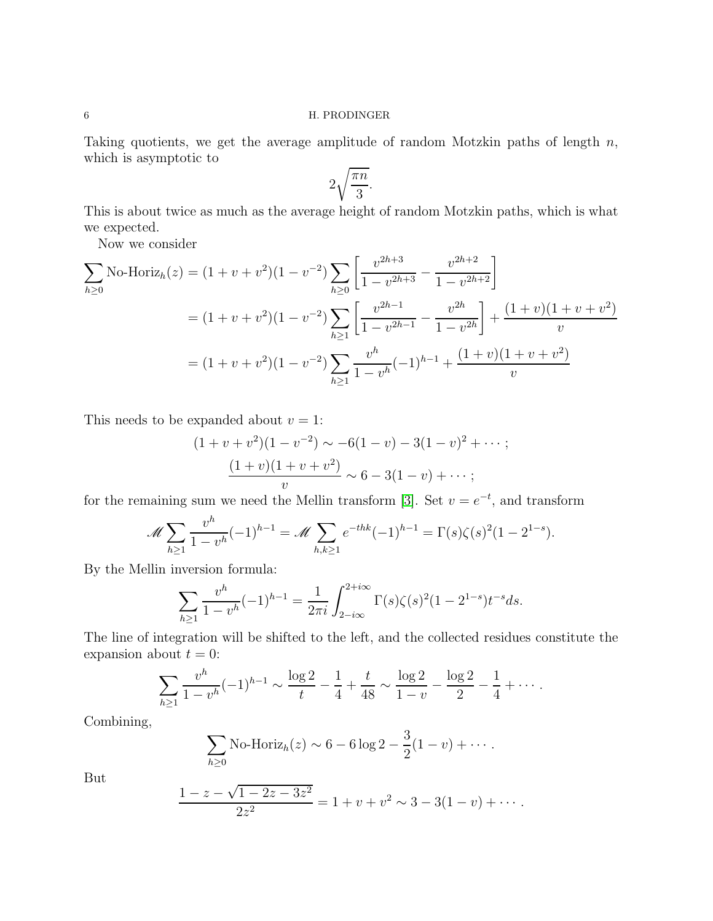## 6 H. PRODINGER

Taking quotients, we get the average amplitude of random Motzkin paths of length  $n$ , which is asymptotic to

$$
2\sqrt{\frac{\pi n}{3}}.
$$

This is about twice as much as the average height of random Motzkin paths, which is what we expected.

Now we consider

$$
\sum_{h\geq 0} \text{No-Horiz}_h(z) = (1+v+v^2)(1-v^{-2}) \sum_{h\geq 0} \left[ \frac{v^{2h+3}}{1-v^{2h+3}} - \frac{v^{2h+2}}{1-v^{2h+2}} \right]
$$
  
=  $(1+v+v^2)(1-v^{-2}) \sum_{h\geq 1} \left[ \frac{v^{2h-1}}{1-v^{2h-1}} - \frac{v^{2h}}{1-v^{2h}} \right] + \frac{(1+v)(1+v+v^2)}{v}$   
=  $(1+v+v^2)(1-v^{-2}) \sum_{h\geq 1} \frac{v^h}{1-v^h}(-1)^{h-1} + \frac{(1+v)(1+v+v^2)}{v}$ 

This needs to be expanded about  $v = 1$ :

$$
(1 + v + v2)(1 - v-2) \sim -6(1 - v) - 3(1 - v)2 + \cdots;
$$
  

$$
\frac{(1 + v)(1 + v + v2)}{v} \sim 6 - 3(1 - v) + \cdots;
$$

for the remaining sum we need the Mellin transform [\[3\]](#page-6-4). Set  $v = e^{-t}$ , and transform

$$
\mathscr{M}\sum_{h\geq 1}\frac{v^h}{1-v^h}(-1)^{h-1}=\mathscr{M}\sum_{h,k\geq 1}e^{-thk}(-1)^{h-1}=\Gamma(s)\zeta(s)^2(1-2^{1-s}).
$$

By the Mellin inversion formula:

$$
\sum_{h\geq 1} \frac{v^h}{1 - v^h} (-1)^{h-1} = \frac{1}{2\pi i} \int_{2 - i\infty}^{2 + i\infty} \Gamma(s)\zeta(s)^2 (1 - 2^{1-s}) t^{-s} ds.
$$

The line of integration will be shifted to the left, and the collected residues constitute the expansion about  $t = 0$ :

$$
\sum_{h\geq 1} \frac{v^h}{1-v^h}(-1)^{h-1} \sim \frac{\log 2}{t} - \frac{1}{4} + \frac{t}{48} \sim \frac{\log 2}{1-v} - \frac{\log 2}{2} - \frac{1}{4} + \cdots
$$

Combining,

$$
\sum_{h\geq 0}
$$
 No-Horiz<sub>h</sub>(z) ~ 6 – 6 log 2 –  $\frac{3}{2}$ (1 – v) + · · · .

But

$$
\frac{1-z-\sqrt{1-2z-3z^2}}{2z^2} = 1+v+v^2 \sim 3-3(1-v)+\cdots.
$$